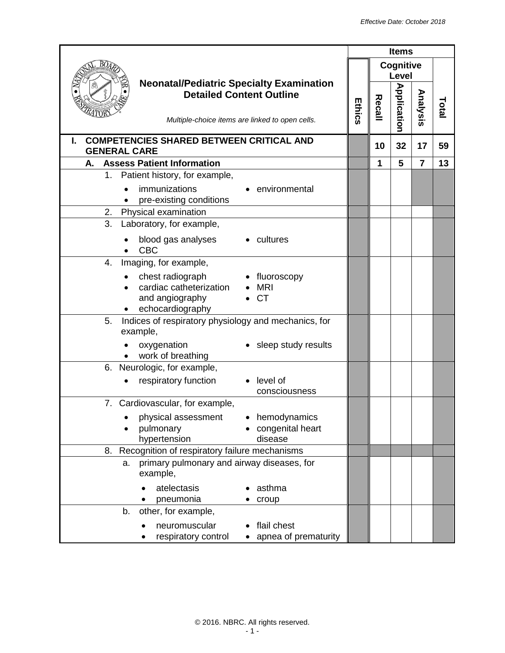|                                                                                                                                       |        |        | <b>Items</b>                     |                |      |
|---------------------------------------------------------------------------------------------------------------------------------------|--------|--------|----------------------------------|----------------|------|
|                                                                                                                                       |        |        | <b>Cognitive</b><br><b>Level</b> |                |      |
| <b>Neonatal/Pediatric Specialty Examination</b><br><b>Detailed Content Outline</b><br>Multiple-choice items are linked to open cells. | Ethics | Recall | <b>Application</b>               | Analysis       | Tota |
| <b>COMPETENCIES SHARED BETWEEN CRITICAL AND</b><br><b>GENERAL CARE</b>                                                                |        | 10     | 32                               | 17             | 59   |
| <b>Assess Patient Information</b><br>А.                                                                                               |        | 1      | 5                                | $\overline{7}$ | 13   |
| Patient history, for example,<br>1.                                                                                                   |        |        |                                  |                |      |
| immunizations<br>environmental<br>pre-existing conditions                                                                             |        |        |                                  |                |      |
| Physical examination<br>2.                                                                                                            |        |        |                                  |                |      |
| 3.<br>Laboratory, for example,                                                                                                        |        |        |                                  |                |      |
| blood gas analyses<br>cultures<br><b>CBC</b>                                                                                          |        |        |                                  |                |      |
| Imaging, for example,<br>4.                                                                                                           |        |        |                                  |                |      |
| chest radiograph<br>• fluoroscopy<br>cardiac catheterization<br><b>MRI</b><br>and angiography<br><b>CT</b><br>echocardiography        |        |        |                                  |                |      |
| Indices of respiratory physiology and mechanics, for<br>5.<br>example,                                                                |        |        |                                  |                |      |
| oxygenation<br>sleep study results<br>work of breathing                                                                               |        |        |                                  |                |      |
| 6. Neurologic, for example,                                                                                                           |        |        |                                  |                |      |
| respiratory function<br>$\bullet$ level of<br>consciousness                                                                           |        |        |                                  |                |      |
| 7. Cardiovascular, for example,                                                                                                       |        |        |                                  |                |      |
| physical assessment<br>hemodynamics<br>pulmonary<br>congenital heart<br>hypertension<br>disease                                       |        |        |                                  |                |      |
| Recognition of respiratory failure mechanisms<br>8.                                                                                   |        |        |                                  |                |      |
| primary pulmonary and airway diseases, for<br>a.<br>example,                                                                          |        |        |                                  |                |      |
| atelectasis<br>asthma<br>pneumonia<br>croup                                                                                           |        |        |                                  |                |      |
| other, for example,<br>b.                                                                                                             |        |        |                                  |                |      |
| flail chest<br>neuromuscular<br>apnea of prematurity<br>respiratory control                                                           |        |        |                                  |                |      |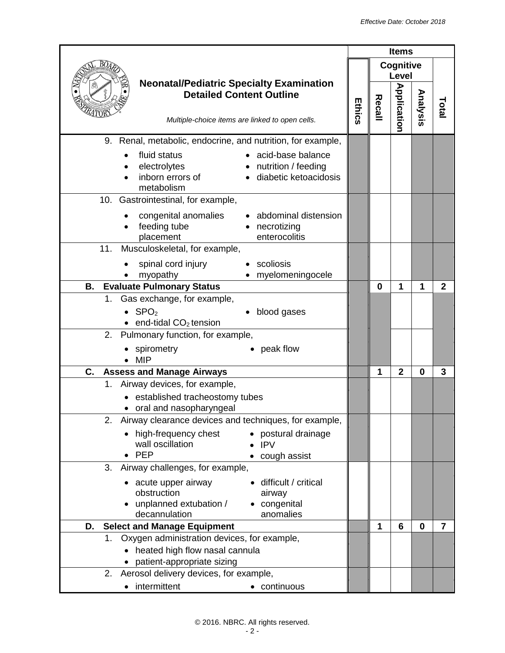|                                                                                                                                             |        |          | <b>Items</b>       |             |                |
|---------------------------------------------------------------------------------------------------------------------------------------------|--------|----------|--------------------|-------------|----------------|
|                                                                                                                                             |        |          | Cognitive<br>Level |             |                |
| <b>Neonatal/Pediatric Specialty Examination</b><br><b>Detailed Content Outline</b><br>Multiple-choice items are linked to open cells.       | Ethics | Recall   | <b>Application</b> | Analysis    | Tota           |
| 9. Renal, metabolic, endocrine, and nutrition, for example,                                                                                 |        |          |                    |             |                |
| fluid status<br>acid-base balance<br>electrolytes<br>• nutrition / feeding<br>inborn errors of<br>· diabetic ketoacidosis<br>metabolism     |        |          |                    |             |                |
| 10. Gastrointestinal, for example,                                                                                                          |        |          |                    |             |                |
| abdominal distension<br>congenital anomalies<br>feeding tube<br>• necrotizing<br>placement<br>enterocolitis                                 |        |          |                    |             |                |
| 11.<br>Musculoskeletal, for example,                                                                                                        |        |          |                    |             |                |
| spinal cord injury<br>scoliosis<br>myopathy<br>myelomeningocele                                                                             |        |          |                    |             |                |
| <b>Evaluate Pulmonary Status</b><br>В.                                                                                                      |        | $\bf{0}$ | 1                  | 1           | $\mathbf{2}$   |
| Gas exchange, for example,<br>1.                                                                                                            |        |          |                    |             |                |
| $\bullet$ SPO <sub>2</sub><br>blood gases<br>end-tidal CO <sub>2</sub> tension                                                              |        |          |                    |             |                |
| Pulmonary function, for example,<br>2.                                                                                                      |        |          |                    |             |                |
| peak flow<br>spirometry<br><b>MIP</b>                                                                                                       |        |          |                    |             |                |
| C.<br><b>Assess and Manage Airways</b>                                                                                                      |        | 1        | $\overline{2}$     | $\mathbf 0$ | 3              |
| Airway devices, for example,<br>1.<br>established tracheostomy tubes<br>• oral and nasopharyngeal                                           |        |          |                    |             |                |
| 2. Airway clearance devices and techniques, for example,                                                                                    |        |          |                    |             |                |
| high-frequency chest<br>• postural drainage<br>wall oscillation<br><b>IPV</b><br>$\bullet$ PEP<br>cough assist                              |        |          |                    |             |                |
| Airway challenges, for example,<br>3.                                                                                                       |        |          |                    |             |                |
| difficult / critical<br>acute upper airway<br>obstruction<br>airway<br>unplanned extubation /<br>• congenital<br>decannulation<br>anomalies |        |          |                    |             |                |
| <b>Select and Manage Equipment</b><br>D.                                                                                                    |        | 1        | 6                  | $\bf{0}$    | $\overline{7}$ |
| Oxygen administration devices, for example,<br>1.<br>heated high flow nasal cannula<br>patient-appropriate sizing                           |        |          |                    |             |                |
| Aerosol delivery devices, for example,<br>2.                                                                                                |        |          |                    |             |                |
| intermittent<br>• continuous<br>٠                                                                                                           |        |          |                    |             |                |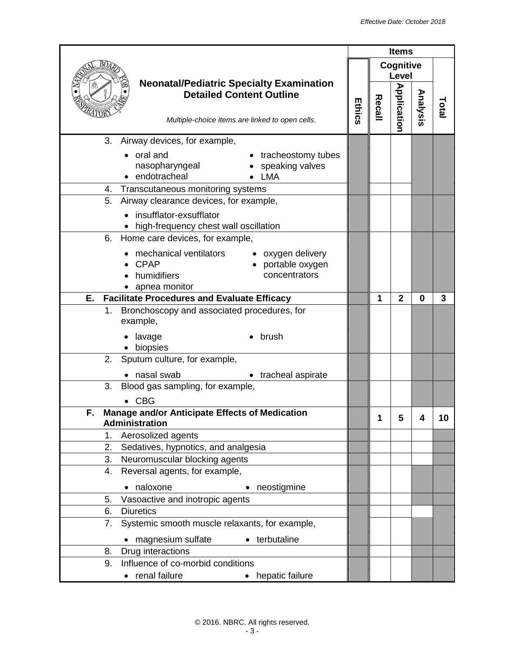| Cognitive<br>Level<br><b>Neonatal/Pediatric Specialty Examination</b><br><b>Application</b><br>Analysis<br><b>Detailed Content Outline</b><br>Recall<br>Ethics<br>Total<br>Multiple-choice items are linked to open cells.<br>Airway devices, for example,<br>3.<br>tracheostomy tubes<br>oral and<br>nasopharyngeal<br>speaking valves<br>• endotracheal<br>LMA<br>Transcutaneous monitoring systems<br>4.<br>Airway clearance devices, for example,<br>5.<br>insufflator-exsufflator<br>high-frequency chest wall oscillation<br>Home care devices, for example,<br>6.<br>mechanical ventilators<br>• oxygen delivery<br><b>CPAP</b><br>portable oxygen<br>humidifiers<br>concentrators<br>apnea monitor<br><b>Facilitate Procedures and Evaluate Efficacy</b><br>$\overline{2}$<br>Е.<br>1<br>0<br>3<br>Bronchoscopy and associated procedures, for<br>1.<br>example,<br>lavage<br>brush<br>biopsies<br>2.<br>Sputum culture, for example,<br>nasal swab<br>• tracheal aspirate<br>Blood gas sampling, for example,<br>3.<br><b>CBG</b><br>Manage and/or Anticipate Effects of Medication<br>F<br>4<br>10<br>5<br>1<br>Administration<br>1.<br>Aerosolized agents<br>2.<br>Sedatives, hypnotics, and analgesia<br>Neuromuscular blocking agents<br>3.<br>Reversal agents, for example,<br>4.<br>naloxone<br>neostigmine<br>$\bullet$<br>Vasoactive and inotropic agents<br>5.<br><b>Diuretics</b><br>6.<br>Systemic smooth muscle relaxants, for example,<br>7.<br>magnesium sulfate<br>• terbutaline<br>Drug interactions<br>8.<br>Influence of co-morbid conditions<br>9.<br>• renal failure<br>• hepatic failure | <b>Items</b> |  |  |  |
|------------------------------------------------------------------------------------------------------------------------------------------------------------------------------------------------------------------------------------------------------------------------------------------------------------------------------------------------------------------------------------------------------------------------------------------------------------------------------------------------------------------------------------------------------------------------------------------------------------------------------------------------------------------------------------------------------------------------------------------------------------------------------------------------------------------------------------------------------------------------------------------------------------------------------------------------------------------------------------------------------------------------------------------------------------------------------------------------------------------------------------------------------------------------------------------------------------------------------------------------------------------------------------------------------------------------------------------------------------------------------------------------------------------------------------------------------------------------------------------------------------------------------------------------------------------------------------------------------------------------|--------------|--|--|--|
|                                                                                                                                                                                                                                                                                                                                                                                                                                                                                                                                                                                                                                                                                                                                                                                                                                                                                                                                                                                                                                                                                                                                                                                                                                                                                                                                                                                                                                                                                                                                                                                                                        |              |  |  |  |
|                                                                                                                                                                                                                                                                                                                                                                                                                                                                                                                                                                                                                                                                                                                                                                                                                                                                                                                                                                                                                                                                                                                                                                                                                                                                                                                                                                                                                                                                                                                                                                                                                        |              |  |  |  |
|                                                                                                                                                                                                                                                                                                                                                                                                                                                                                                                                                                                                                                                                                                                                                                                                                                                                                                                                                                                                                                                                                                                                                                                                                                                                                                                                                                                                                                                                                                                                                                                                                        |              |  |  |  |
|                                                                                                                                                                                                                                                                                                                                                                                                                                                                                                                                                                                                                                                                                                                                                                                                                                                                                                                                                                                                                                                                                                                                                                                                                                                                                                                                                                                                                                                                                                                                                                                                                        |              |  |  |  |
|                                                                                                                                                                                                                                                                                                                                                                                                                                                                                                                                                                                                                                                                                                                                                                                                                                                                                                                                                                                                                                                                                                                                                                                                                                                                                                                                                                                                                                                                                                                                                                                                                        |              |  |  |  |
|                                                                                                                                                                                                                                                                                                                                                                                                                                                                                                                                                                                                                                                                                                                                                                                                                                                                                                                                                                                                                                                                                                                                                                                                                                                                                                                                                                                                                                                                                                                                                                                                                        |              |  |  |  |
|                                                                                                                                                                                                                                                                                                                                                                                                                                                                                                                                                                                                                                                                                                                                                                                                                                                                                                                                                                                                                                                                                                                                                                                                                                                                                                                                                                                                                                                                                                                                                                                                                        |              |  |  |  |
|                                                                                                                                                                                                                                                                                                                                                                                                                                                                                                                                                                                                                                                                                                                                                                                                                                                                                                                                                                                                                                                                                                                                                                                                                                                                                                                                                                                                                                                                                                                                                                                                                        |              |  |  |  |
|                                                                                                                                                                                                                                                                                                                                                                                                                                                                                                                                                                                                                                                                                                                                                                                                                                                                                                                                                                                                                                                                                                                                                                                                                                                                                                                                                                                                                                                                                                                                                                                                                        |              |  |  |  |
|                                                                                                                                                                                                                                                                                                                                                                                                                                                                                                                                                                                                                                                                                                                                                                                                                                                                                                                                                                                                                                                                                                                                                                                                                                                                                                                                                                                                                                                                                                                                                                                                                        |              |  |  |  |
|                                                                                                                                                                                                                                                                                                                                                                                                                                                                                                                                                                                                                                                                                                                                                                                                                                                                                                                                                                                                                                                                                                                                                                                                                                                                                                                                                                                                                                                                                                                                                                                                                        |              |  |  |  |
|                                                                                                                                                                                                                                                                                                                                                                                                                                                                                                                                                                                                                                                                                                                                                                                                                                                                                                                                                                                                                                                                                                                                                                                                                                                                                                                                                                                                                                                                                                                                                                                                                        |              |  |  |  |
|                                                                                                                                                                                                                                                                                                                                                                                                                                                                                                                                                                                                                                                                                                                                                                                                                                                                                                                                                                                                                                                                                                                                                                                                                                                                                                                                                                                                                                                                                                                                                                                                                        |              |  |  |  |
|                                                                                                                                                                                                                                                                                                                                                                                                                                                                                                                                                                                                                                                                                                                                                                                                                                                                                                                                                                                                                                                                                                                                                                                                                                                                                                                                                                                                                                                                                                                                                                                                                        |              |  |  |  |
|                                                                                                                                                                                                                                                                                                                                                                                                                                                                                                                                                                                                                                                                                                                                                                                                                                                                                                                                                                                                                                                                                                                                                                                                                                                                                                                                                                                                                                                                                                                                                                                                                        |              |  |  |  |
|                                                                                                                                                                                                                                                                                                                                                                                                                                                                                                                                                                                                                                                                                                                                                                                                                                                                                                                                                                                                                                                                                                                                                                                                                                                                                                                                                                                                                                                                                                                                                                                                                        |              |  |  |  |
|                                                                                                                                                                                                                                                                                                                                                                                                                                                                                                                                                                                                                                                                                                                                                                                                                                                                                                                                                                                                                                                                                                                                                                                                                                                                                                                                                                                                                                                                                                                                                                                                                        |              |  |  |  |
|                                                                                                                                                                                                                                                                                                                                                                                                                                                                                                                                                                                                                                                                                                                                                                                                                                                                                                                                                                                                                                                                                                                                                                                                                                                                                                                                                                                                                                                                                                                                                                                                                        |              |  |  |  |
|                                                                                                                                                                                                                                                                                                                                                                                                                                                                                                                                                                                                                                                                                                                                                                                                                                                                                                                                                                                                                                                                                                                                                                                                                                                                                                                                                                                                                                                                                                                                                                                                                        |              |  |  |  |
|                                                                                                                                                                                                                                                                                                                                                                                                                                                                                                                                                                                                                                                                                                                                                                                                                                                                                                                                                                                                                                                                                                                                                                                                                                                                                                                                                                                                                                                                                                                                                                                                                        |              |  |  |  |
|                                                                                                                                                                                                                                                                                                                                                                                                                                                                                                                                                                                                                                                                                                                                                                                                                                                                                                                                                                                                                                                                                                                                                                                                                                                                                                                                                                                                                                                                                                                                                                                                                        |              |  |  |  |
|                                                                                                                                                                                                                                                                                                                                                                                                                                                                                                                                                                                                                                                                                                                                                                                                                                                                                                                                                                                                                                                                                                                                                                                                                                                                                                                                                                                                                                                                                                                                                                                                                        |              |  |  |  |
|                                                                                                                                                                                                                                                                                                                                                                                                                                                                                                                                                                                                                                                                                                                                                                                                                                                                                                                                                                                                                                                                                                                                                                                                                                                                                                                                                                                                                                                                                                                                                                                                                        |              |  |  |  |
|                                                                                                                                                                                                                                                                                                                                                                                                                                                                                                                                                                                                                                                                                                                                                                                                                                                                                                                                                                                                                                                                                                                                                                                                                                                                                                                                                                                                                                                                                                                                                                                                                        |              |  |  |  |
|                                                                                                                                                                                                                                                                                                                                                                                                                                                                                                                                                                                                                                                                                                                                                                                                                                                                                                                                                                                                                                                                                                                                                                                                                                                                                                                                                                                                                                                                                                                                                                                                                        |              |  |  |  |
|                                                                                                                                                                                                                                                                                                                                                                                                                                                                                                                                                                                                                                                                                                                                                                                                                                                                                                                                                                                                                                                                                                                                                                                                                                                                                                                                                                                                                                                                                                                                                                                                                        |              |  |  |  |
|                                                                                                                                                                                                                                                                                                                                                                                                                                                                                                                                                                                                                                                                                                                                                                                                                                                                                                                                                                                                                                                                                                                                                                                                                                                                                                                                                                                                                                                                                                                                                                                                                        |              |  |  |  |
|                                                                                                                                                                                                                                                                                                                                                                                                                                                                                                                                                                                                                                                                                                                                                                                                                                                                                                                                                                                                                                                                                                                                                                                                                                                                                                                                                                                                                                                                                                                                                                                                                        |              |  |  |  |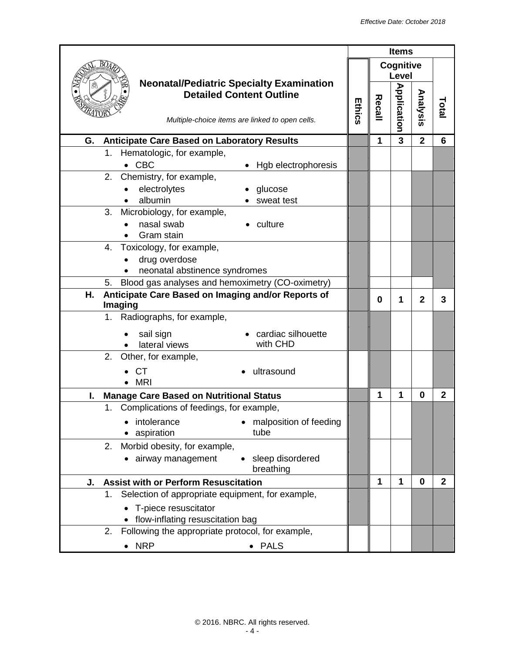|                                                                                                                                       |               |        | <b>Items</b>       |                         |                |
|---------------------------------------------------------------------------------------------------------------------------------------|---------------|--------|--------------------|-------------------------|----------------|
|                                                                                                                                       |               |        | Cognitive<br>Level |                         |                |
| <b>Neonatal/Pediatric Specialty Examination</b><br><b>Detailed Content Outline</b><br>Multiple-choice items are linked to open cells. | <b>Ethics</b> | Recall | <b>Application</b> | Analysis                | Total          |
| <b>Anticipate Care Based on Laboratory Results</b><br>G.                                                                              |               | 1      | 3                  | $\overline{\mathbf{2}}$ | 6              |
| Hematologic, for example,<br>1.                                                                                                       |               |        |                    |                         |                |
| <b>CBC</b><br>Hgb electrophoresis<br>$\bullet$                                                                                        |               |        |                    |                         |                |
| 2. Chemistry, for example,                                                                                                            |               |        |                    |                         |                |
| electrolytes<br>glucose                                                                                                               |               |        |                    |                         |                |
| albumin<br>sweat test                                                                                                                 |               |        |                    |                         |                |
| 3.<br>Microbiology, for example,                                                                                                      |               |        |                    |                         |                |
| nasal swab<br>culture<br>Gram stain                                                                                                   |               |        |                    |                         |                |
| Toxicology, for example,<br>4.                                                                                                        |               |        |                    |                         |                |
| drug overdose                                                                                                                         |               |        |                    |                         |                |
| neonatal abstinence syndromes                                                                                                         |               |        |                    |                         |                |
| Blood gas analyses and hemoximetry (CO-oximetry)<br>5.                                                                                |               |        |                    |                         |                |
| Anticipate Care Based on Imaging and/or Reports of<br>Η.<br>Imaging                                                                   |               | 0      | 1                  | $\mathbf{2}$            | 3              |
| 1. Radiographs, for example,                                                                                                          |               |        |                    |                         |                |
| cardiac silhouette<br>sail sign                                                                                                       |               |        |                    |                         |                |
| with CHD<br>lateral views                                                                                                             |               |        |                    |                         |                |
| Other, for example,<br>2.                                                                                                             |               |        |                    |                         |                |
| <b>CT</b><br>ultrasound                                                                                                               |               |        |                    |                         |                |
| <b>MRI</b>                                                                                                                            |               |        |                    |                         |                |
| <b>Manage Care Based on Nutritional Status</b><br>I.                                                                                  |               | 1      | 1                  | $\mathbf 0$             | $\overline{2}$ |
| 1. Complications of feedings, for example,                                                                                            |               |        |                    |                         |                |
| intolerance<br>malposition of feeding                                                                                                 |               |        |                    |                         |                |
| tube<br>aspiration                                                                                                                    |               |        |                    |                         |                |
| Morbid obesity, for example,<br>2.                                                                                                    |               |        |                    |                         |                |
| · airway management<br>sleep disordered<br>$\bullet$<br>breathing                                                                     |               |        |                    |                         |                |
| <b>Assist with or Perform Resuscitation</b><br>J.                                                                                     |               | 1      | 1                  | $\bf{0}$                | $\mathbf{2}$   |
| Selection of appropriate equipment, for example,<br>1.                                                                                |               |        |                    |                         |                |
| T-piece resuscitator                                                                                                                  |               |        |                    |                         |                |
| flow-inflating resuscitation bag                                                                                                      |               |        |                    |                         |                |
| Following the appropriate protocol, for example,<br>2.                                                                                |               |        |                    |                         |                |
| $\bullet$ NRP<br>• PALS                                                                                                               |               |        |                    |                         |                |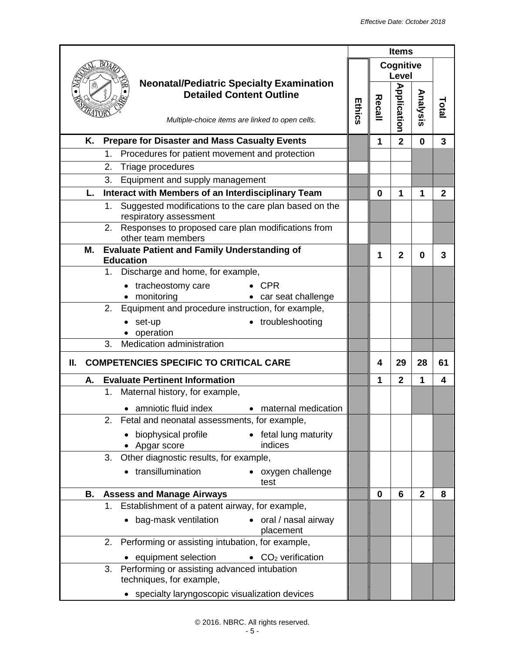|    |                                                                                       | <b>Items</b>  |          |                    |                         |                |
|----|---------------------------------------------------------------------------------------|---------------|----------|--------------------|-------------------------|----------------|
|    |                                                                                       |               |          | Cognitive          |                         |                |
|    | <b>Neonatal/Pediatric Specialty Examination</b>                                       |               |          | Level              |                         |                |
|    | <b>Detailed Content Outline</b>                                                       |               |          |                    |                         |                |
|    |                                                                                       | <b>Ethics</b> | Recall   |                    | Analysis                | Total          |
|    | Multiple-choice items are linked to open cells.                                       |               |          | <b>Application</b> |                         |                |
| Κ. | <b>Prepare for Disaster and Mass Casualty Events</b>                                  |               | 1        | $\overline{2}$     | $\mathbf{0}$            | 3              |
|    | Procedures for patient movement and protection<br>1.                                  |               |          |                    |                         |                |
|    | 2.<br>Triage procedures                                                               |               |          |                    |                         |                |
|    | 3.<br>Equipment and supply management                                                 |               |          |                    |                         |                |
| L. | Interact with Members of an Interdisciplinary Team                                    |               | 0        | 1                  | 1                       | $\overline{2}$ |
|    | Suggested modifications to the care plan based on the<br>1.<br>respiratory assessment |               |          |                    |                         |                |
|    | Responses to proposed care plan modifications from<br>2.<br>other team members        |               |          |                    |                         |                |
| М. | <b>Evaluate Patient and Family Understanding of</b><br><b>Education</b>               |               | 1        | $\mathbf{2}$       | 0                       | 3              |
|    | 1. Discharge and home, for example,                                                   |               |          |                    |                         |                |
|    | tracheostomy care<br>$\bullet$ CPR                                                    |               |          |                    |                         |                |
|    | • monitoring<br>• car seat challenge                                                  |               |          |                    |                         |                |
|    | Equipment and procedure instruction, for example,<br>2.                               |               |          |                    |                         |                |
|    | troubleshooting<br>set-up<br>operation                                                |               |          |                    |                         |                |
|    | Medication administration<br>3.                                                       |               |          |                    |                         |                |
| Ш. | <b>COMPETENCIES SPECIFIC TO CRITICAL CARE</b>                                         |               | 4        | 29                 | 28                      | 61             |
| А. | <b>Evaluate Pertinent Information</b>                                                 |               | 1        | $\overline{2}$     | $\mathbf{1}$            | 4              |
|    | 1.<br>Maternal history, for example,                                                  |               |          |                    |                         |                |
|    | • amniotic fluid index<br>• maternal medication                                       |               |          |                    |                         |                |
|    | 2. Fetal and neonatal assessments, for example,                                       |               |          |                    |                         |                |
|    | • fetal lung maturity<br>biophysical profile                                          |               |          |                    |                         |                |
|    | indices<br>• Apgar score                                                              |               |          |                    |                         |                |
|    | Other diagnostic results, for example,<br>3.                                          |               |          |                    |                         |                |
|    | transillumination<br>• oxygen challenge<br>test                                       |               |          |                    |                         |                |
| В. | <b>Assess and Manage Airways</b>                                                      |               | $\bf{0}$ | 6                  | $\overline{\mathbf{2}}$ | 8              |
|    | Establishment of a patent airway, for example,<br>1.                                  |               |          |                    |                         |                |
|    | bag-mask ventilation<br>• oral / nasal airway<br>placement                            |               |          |                    |                         |                |
|    | Performing or assisting intubation, for example,<br>2.                                |               |          |                    |                         |                |
|    | equipment selection<br>• $CO2$ verification                                           |               |          |                    |                         |                |
|    | Performing or assisting advanced intubation<br>3.<br>techniques, for example,         |               |          |                    |                         |                |
|    | • specialty laryngoscopic visualization devices                                       |               |          |                    |                         |                |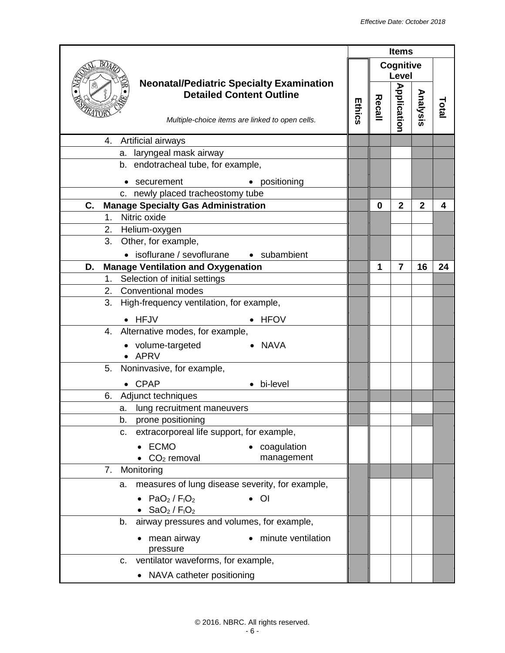|                                                                                                                                       |               |        | <b>Items</b>       |                |       |
|---------------------------------------------------------------------------------------------------------------------------------------|---------------|--------|--------------------|----------------|-------|
|                                                                                                                                       |               |        | Cognitive<br>Level |                |       |
| <b>Neonatal/Pediatric Specialty Examination</b><br><b>Detailed Content Outline</b><br>Multiple-choice items are linked to open cells. | <b>Ethics</b> | Recall | <b>Application</b> | Analysis       | Total |
| Artificial airways<br>4.                                                                                                              |               |        |                    |                |       |
| laryngeal mask airway<br>а.                                                                                                           |               |        |                    |                |       |
| endotracheal tube, for example,<br>b.                                                                                                 |               |        |                    |                |       |
| • positioning<br>securement                                                                                                           |               |        |                    |                |       |
| c. newly placed tracheostomy tube                                                                                                     |               |        |                    |                |       |
| <b>Manage Specialty Gas Administration</b><br>C.                                                                                      |               | 0      | $\overline{2}$     | $\overline{2}$ | 4     |
| Nitric oxide<br>1 <sub>1</sub>                                                                                                        |               |        |                    |                |       |
| 2.<br>Helium-oxygen                                                                                                                   |               |        |                    |                |       |
| 3.<br>Other, for example,                                                                                                             |               |        |                    |                |       |
| • isoflurane / sevoflurane • subambient                                                                                               |               |        |                    |                |       |
| D.<br><b>Manage Ventilation and Oxygenation</b>                                                                                       |               | 1      | $\overline{7}$     | 16             | 24    |
| Selection of initial settings<br>1.                                                                                                   |               |        |                    |                |       |
| <b>Conventional modes</b><br>2.                                                                                                       |               |        |                    |                |       |
| 3.<br>High-frequency ventilation, for example,                                                                                        |               |        |                    |                |       |
| HFJV<br><b>HFOV</b>                                                                                                                   |               |        |                    |                |       |
| 4. Alternative modes, for example,                                                                                                    |               |        |                    |                |       |
| • volume-targeted<br>• NAVA<br>APRV                                                                                                   |               |        |                    |                |       |
| Noninvasive, for example,<br>5.                                                                                                       |               |        |                    |                |       |
| <b>CPAP</b><br>• bi-level                                                                                                             |               |        |                    |                |       |
| Adjunct techniques<br>6.                                                                                                              |               |        |                    |                |       |
| lung recruitment maneuvers<br>а.                                                                                                      |               |        |                    |                |       |
| b.<br>prone positioning                                                                                                               |               |        |                    |                |       |
| extracorporeal life support, for example,<br>c.                                                                                       |               |        |                    |                |       |
| <b>ECMO</b><br>coagulation                                                                                                            |               |        |                    |                |       |
| $CO2$ removal<br>management                                                                                                           |               |        |                    |                |       |
| 7. Monitoring                                                                                                                         |               |        |                    |                |       |
| measures of lung disease severity, for example,<br>а.                                                                                 |               |        |                    |                |       |
| $PaO2$ / $F1O2$<br>$\overline{O}$<br>$SaO2$ / $F1O2$                                                                                  |               |        |                    |                |       |
| airway pressures and volumes, for example,<br>b.                                                                                      |               |        |                    |                |       |
| mean airway<br>minute ventilation<br>pressure                                                                                         |               |        |                    |                |       |
| ventilator waveforms, for example,<br>C.                                                                                              |               |        |                    |                |       |
| • NAVA catheter positioning                                                                                                           |               |        |                    |                |       |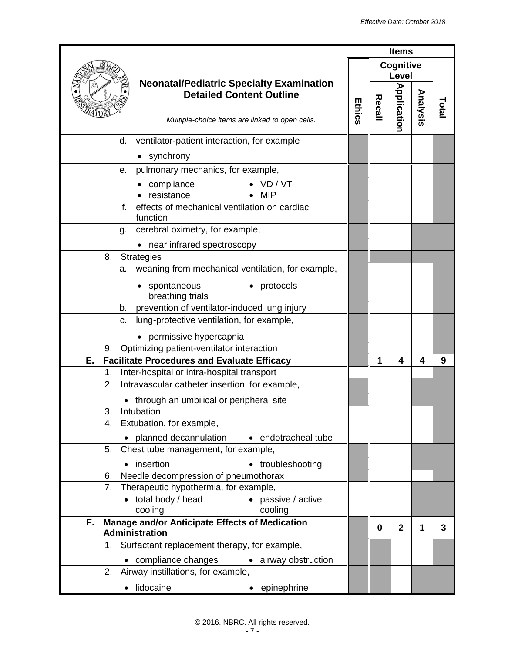|                                                                                                                                       | <b>Items</b> |        |                    |          |       |
|---------------------------------------------------------------------------------------------------------------------------------------|--------------|--------|--------------------|----------|-------|
|                                                                                                                                       |              |        | Cognitive<br>Level |          |       |
| <b>Neonatal/Pediatric Specialty Examination</b><br><b>Detailed Content Outline</b><br>Multiple-choice items are linked to open cells. | Ethics       | Recall | <b>Application</b> | Analysis | Total |
| ventilator-patient interaction, for example<br>d.                                                                                     |              |        |                    |          |       |
| • synchrony                                                                                                                           |              |        |                    |          |       |
| pulmonary mechanics, for example,<br>е.                                                                                               |              |        |                    |          |       |
| compliance<br>VD/VT<br>resistance<br><b>MIP</b>                                                                                       |              |        |                    |          |       |
| effects of mechanical ventilation on cardiac<br>f.<br>function                                                                        |              |        |                    |          |       |
| cerebral oximetry, for example,<br>g.                                                                                                 |              |        |                    |          |       |
| • near infrared spectroscopy                                                                                                          |              |        |                    |          |       |
| <b>Strategies</b><br>8.                                                                                                               |              |        |                    |          |       |
| weaning from mechanical ventilation, for example,<br>a.                                                                               |              |        |                    |          |       |
| spontaneous<br>• protocols<br>breathing trials                                                                                        |              |        |                    |          |       |
| prevention of ventilator-induced lung injury<br>b.                                                                                    |              |        |                    |          |       |
| lung-protective ventilation, for example,<br>C.                                                                                       |              |        |                    |          |       |
| permissive hypercapnia                                                                                                                |              |        |                    |          |       |
| Optimizing patient-ventilator interaction<br>9.                                                                                       |              |        |                    |          |       |
| <b>Facilitate Procedures and Evaluate Efficacy</b><br>Ε.                                                                              |              | 1      | 4                  | 4        | 9     |
| Inter-hospital or intra-hospital transport<br>1.                                                                                      |              |        |                    |          |       |
| 2.<br>Intravascular catheter insertion, for example,                                                                                  |              |        |                    |          |       |
| through an umbilical or peripheral site                                                                                               |              |        |                    |          |       |
| 3.<br>Intubation                                                                                                                      |              |        |                    |          |       |
| Extubation, for example,<br>4.                                                                                                        |              |        |                    |          |       |
| • planned decannulation • endotracheal tube                                                                                           |              |        |                    |          |       |
| Chest tube management, for example,<br>5.                                                                                             |              |        |                    |          |       |
| insertion<br>• troubleshooting                                                                                                        |              |        |                    |          |       |
| Needle decompression of pneumothorax<br>6.                                                                                            |              |        |                    |          |       |
| Therapeutic hypothermia, for example,<br>7.                                                                                           |              |        |                    |          |       |
| • passive / active<br>• total body / head                                                                                             |              |        |                    |          |       |
| cooling<br>cooling<br>Manage and/or Anticipate Effects of Medication<br>F.                                                            |              |        |                    |          |       |
| <b>Administration</b>                                                                                                                 |              | 0      | $\mathbf{2}$       | 1        | 3     |
| 1. Surfactant replacement therapy, for example,                                                                                       |              |        |                    |          |       |
| compliance changes<br>• airway obstruction                                                                                            |              |        |                    |          |       |
| Airway instillations, for example,<br>2.                                                                                              |              |        |                    |          |       |
| lidocaine<br>epinephrine                                                                                                              |              |        |                    |          |       |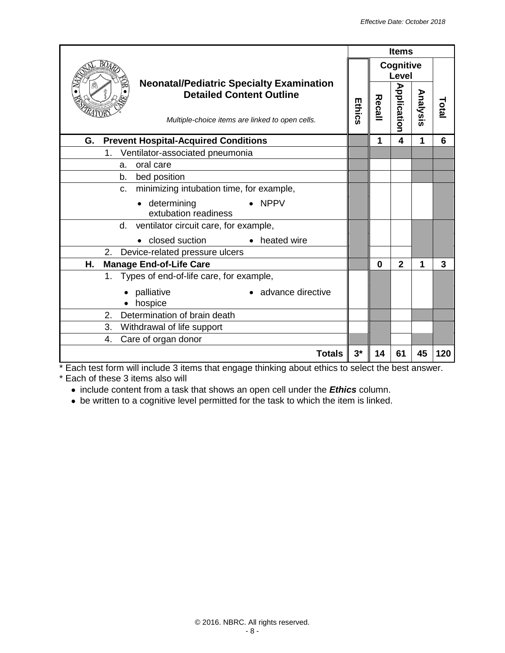|                                                                                                                                       | <b>Items</b> |          |                           |          |       |
|---------------------------------------------------------------------------------------------------------------------------------------|--------------|----------|---------------------------|----------|-------|
|                                                                                                                                       |              |          | Cognitive<br><b>Level</b> |          |       |
| <b>Neonatal/Pediatric Specialty Examination</b><br><b>Detailed Content Outline</b><br>Multiple-choice items are linked to open cells. | Ethics       | Recall   | <b>Application</b>        | Analysis | Total |
| G.<br><b>Prevent Hospital-Acquired Conditions</b>                                                                                     |              | 1        | $\overline{\mathbf{4}}$   | 1        | 6     |
| Ventilator-associated pneumonia<br>1.                                                                                                 |              |          |                           |          |       |
| oral care<br>a.                                                                                                                       |              |          |                           |          |       |
| b.<br>bed position                                                                                                                    |              |          |                           |          |       |
| minimizing intubation time, for example,<br>$C_{\cdot}$                                                                               |              |          |                           |          |       |
| $\bullet$ NPPV<br>• determining<br>extubation readiness                                                                               |              |          |                           |          |       |
| ventilator circuit care, for example,<br>d.                                                                                           |              |          |                           |          |       |
| closed suction<br>heated wire                                                                                                         |              |          |                           |          |       |
| 2. Device-related pressure ulcers                                                                                                     |              |          |                           |          |       |
| <b>Manage End-of-Life Care</b><br>Η.                                                                                                  |              | $\bf{0}$ | $\overline{2}$            | 1        | 3     |
| Types of end-of-life care, for example,<br>1.                                                                                         |              |          |                           |          |       |
| advance directive<br>palliative<br>hospice                                                                                            |              |          |                           |          |       |
| Determination of brain death<br>2.                                                                                                    |              |          |                           |          |       |
| 3.<br>Withdrawal of life support                                                                                                      |              |          |                           |          |       |
| Care of organ donor<br>4.                                                                                                             |              |          |                           |          |       |
| <b>Totals</b>                                                                                                                         | $3^*$        | 14       | 61                        | 45       | 120   |

\* Each test form will include 3 items that engage thinking about ethics to select the best answer. \* Each of these 3 items also will

- include content from a task that shows an open cell under the *Ethics* column.
- be written to a cognitive level permitted for the task to which the item is linked.